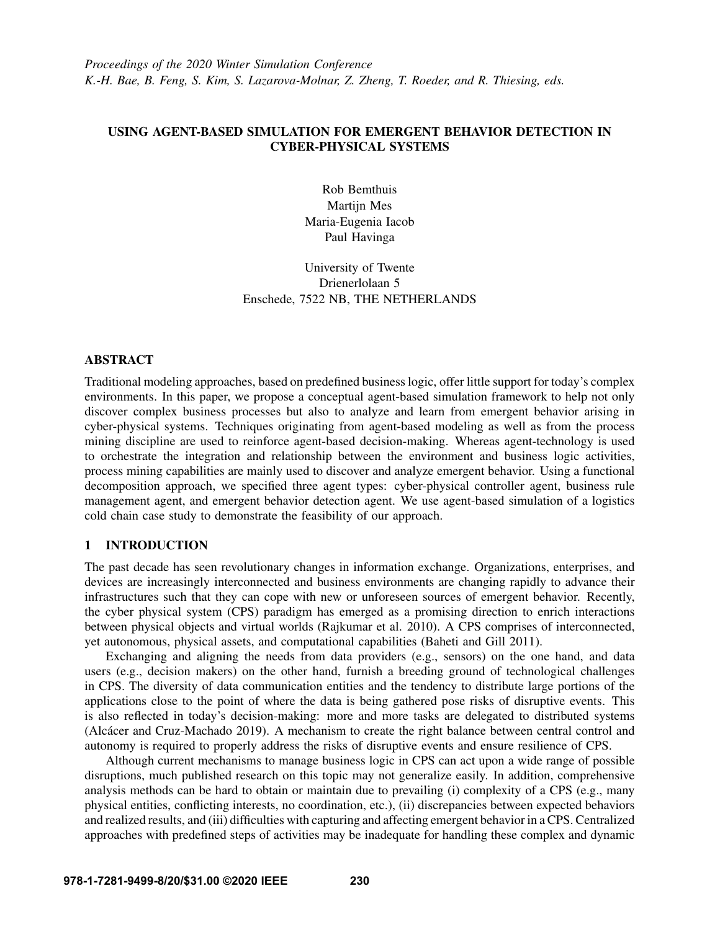## USING AGENT-BASED SIMULATION FOR EMERGENT BEHAVIOR DETECTION IN CYBER-PHYSICAL SYSTEMS

Rob Bemthuis Martijn Mes Maria-Eugenia Iacob Paul Havinga

University of Twente Drienerlolaan 5 Enschede, 7522 NB, THE NETHERLANDS

## ABSTRACT

Traditional modeling approaches, based on predefined business logic, offer little support for today's complex environments. In this paper, we propose a conceptual agent-based simulation framework to help not only discover complex business processes but also to analyze and learn from emergent behavior arising in cyber-physical systems. Techniques originating from agent-based modeling as well as from the process mining discipline are used to reinforce agent-based decision-making. Whereas agent-technology is used to orchestrate the integration and relationship between the environment and business logic activities, process mining capabilities are mainly used to discover and analyze emergent behavior. Using a functional decomposition approach, we specified three agent types: cyber-physical controller agent, business rule management agent, and emergent behavior detection agent. We use agent-based simulation of a logistics cold chain case study to demonstrate the feasibility of our approach.

# 1 INTRODUCTION

The past decade has seen revolutionary changes in information exchange. Organizations, enterprises, and devices are increasingly interconnected and business environments are changing rapidly to advance their infrastructures such that they can cope with new or unforeseen sources of emergent behavior. Recently, the cyber physical system (CPS) paradigm has emerged as a promising direction to enrich interactions between physical objects and virtual worlds [\(Rajkumar et al. 2010\)](#page-11-0). A CPS comprises of interconnected, yet autonomous, physical assets, and computational capabilities [\(Baheti and Gill 2011\)](#page-10-0).

Exchanging and aligning the needs from data providers (e.g., sensors) on the one hand, and data users (e.g., decision makers) on the other hand, furnish a breeding ground of technological challenges in CPS. The diversity of data communication entities and the tendency to distribute large portions of the applications close to the point of where the data is being gathered pose risks of disruptive events. This is also reflected in today's decision-making: more and more tasks are delegated to distributed systems (Alcácer and Cruz-Machado 2019). A mechanism to create the right balance between central control and autonomy is required to properly address the risks of disruptive events and ensure resilience of CPS.

Although current mechanisms to manage business logic in CPS can act upon a wide range of possible disruptions, much published research on this topic may not generalize easily. In addition, comprehensive analysis methods can be hard to obtain or maintain due to prevailing (i) complexity of a CPS (e.g., many physical entities, conflicting interests, no coordination, etc.), (ii) discrepancies between expected behaviors and realized results, and (iii) difficulties with capturing and affecting emergent behavior in a CPS. Centralized approaches with predefined steps of activities may be inadequate for handling these complex and dynamic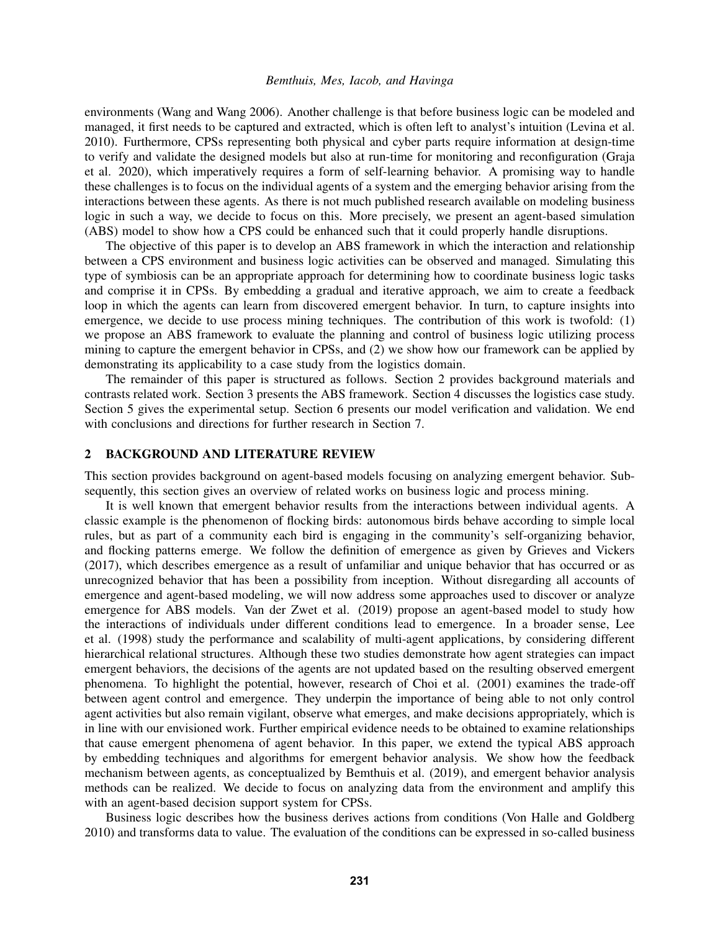environments [\(Wang and Wang 2006\)](#page-11-1). Another challenge is that before business logic can be modeled and managed, it first needs to be captured and extracted, which is often left to analyst's intuition [\(Levina et al.](#page-11-2) [2010\)](#page-11-2). Furthermore, CPSs representing both physical and cyber parts require information at design-time to verify and validate the designed models but also at run-time for monitoring and reconfiguration [\(Graja](#page-11-3) [et al. 2020\)](#page-11-3), which imperatively requires a form of self-learning behavior. A promising way to handle these challenges is to focus on the individual agents of a system and the emerging behavior arising from the interactions between these agents. As there is not much published research available on modeling business logic in such a way, we decide to focus on this. More precisely, we present an agent-based simulation (ABS) model to show how a CPS could be enhanced such that it could properly handle disruptions.

The objective of this paper is to develop an ABS framework in which the interaction and relationship between a CPS environment and business logic activities can be observed and managed. Simulating this type of symbiosis can be an appropriate approach for determining how to coordinate business logic tasks and comprise it in CPSs. By embedding a gradual and iterative approach, we aim to create a feedback loop in which the agents can learn from discovered emergent behavior. In turn, to capture insights into emergence, we decide to use process mining techniques. The contribution of this work is twofold: (1) we propose an ABS framework to evaluate the planning and control of business logic utilizing process mining to capture the emergent behavior in CPSs, and (2) we show how our framework can be applied by demonstrating its applicability to a case study from the logistics domain.

The remainder of this paper is structured as follows. Section [2](#page-1-0) provides background materials and contrasts related work. Section [3](#page-2-0) presents the ABS framework. Section [4](#page-5-0) discusses the logistics case study. Section [5](#page-6-0) gives the experimental setup. Section [6](#page-8-0) presents our model verification and validation. We end with conclusions and directions for further research in Section [7.](#page-10-2)

## <span id="page-1-0"></span>2 BACKGROUND AND LITERATURE REVIEW

This section provides background on agent-based models focusing on analyzing emergent behavior. Subsequently, this section gives an overview of related works on business logic and process mining.

It is well known that emergent behavior results from the interactions between individual agents. A classic example is the phenomenon of flocking birds: autonomous birds behave according to simple local rules, but as part of a community each bird is engaging in the community's self-organizing behavior, and flocking patterns emerge. We follow the definition of emergence as given by [Grieves and Vickers](#page-11-4) [\(2017\),](#page-11-4) which describes emergence as a result of unfamiliar and unique behavior that has occurred or as unrecognized behavior that has been a possibility from inception. Without disregarding all accounts of emergence and agent-based modeling, we will now address some approaches used to discover or analyze emergence for ABS models. [Van der Zwet et al. \(2019\)](#page-11-5) propose an agent-based model to study how the interactions of individuals under different conditions lead to emergence. In a broader sense, [Lee](#page-11-6) [et al. \(1998\)](#page-11-6) study the performance and scalability of multi-agent applications, by considering different hierarchical relational structures. Although these two studies demonstrate how agent strategies can impact emergent behaviors, the decisions of the agents are not updated based on the resulting observed emergent phenomena. To highlight the potential, however, research of [Choi et al. \(2001\)](#page-11-7) examines the trade-off between agent control and emergence. They underpin the importance of being able to not only control agent activities but also remain vigilant, observe what emerges, and make decisions appropriately, which is in line with our envisioned work. Further empirical evidence needs to be obtained to examine relationships that cause emergent phenomena of agent behavior. In this paper, we extend the typical ABS approach by embedding techniques and algorithms for emergent behavior analysis. We show how the feedback mechanism between agents, as conceptualized by [Bemthuis et al. \(2019\),](#page-10-3) and emergent behavior analysis methods can be realized. We decide to focus on analyzing data from the environment and amplify this with an agent-based decision support system for CPSs.

Business logic describes how the business derives actions from conditions [\(Von Halle and Goldberg](#page-11-8) [2010\)](#page-11-8) and transforms data to value. The evaluation of the conditions can be expressed in so-called business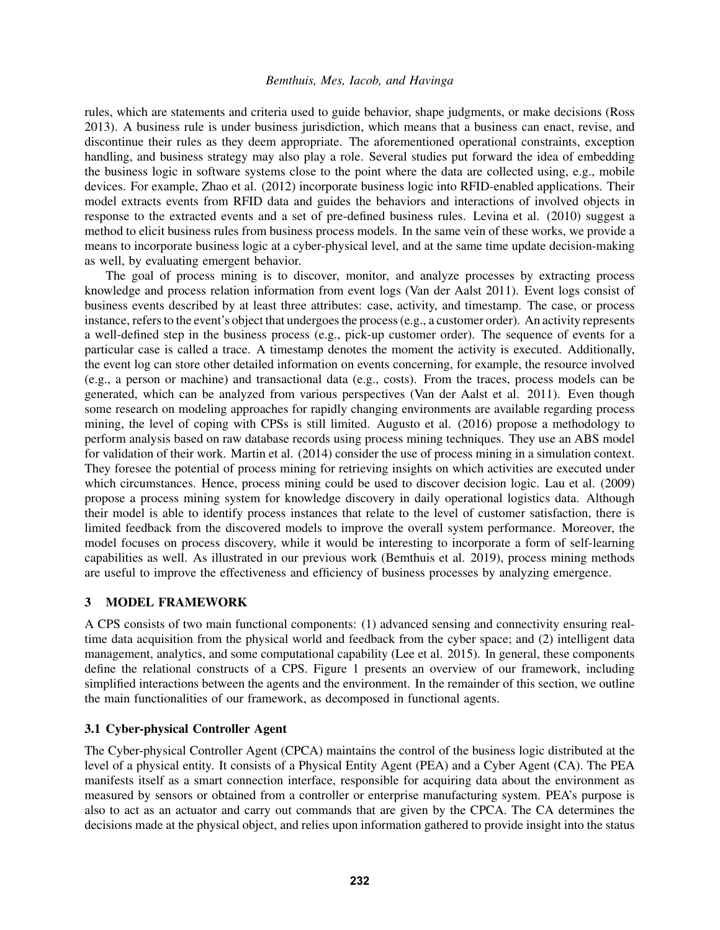rules, which are statements and criteria used to guide behavior, shape judgments, or make decisions [\(Ross](#page-11-9) [2013\)](#page-11-9). A business rule is under business jurisdiction, which means that a business can enact, revise, and discontinue their rules as they deem appropriate. The aforementioned operational constraints, exception handling, and business strategy may also play a role. Several studies put forward the idea of embedding the business logic in software systems close to the point where the data are collected using, e.g., mobile devices. For example, [Zhao et al. \(2012\)](#page-11-10) incorporate business logic into RFID-enabled applications. Their model extracts events from RFID data and guides the behaviors and interactions of involved objects in response to the extracted events and a set of pre-defined business rules. [Levina et al. \(2010\)](#page-11-2) suggest a method to elicit business rules from business process models. In the same vein of these works, we provide a means to incorporate business logic at a cyber-physical level, and at the same time update decision-making as well, by evaluating emergent behavior.

The goal of process mining is to discover, monitor, and analyze processes by extracting process knowledge and process relation information from event logs [\(Van der Aalst 2011\)](#page-11-11). Event logs consist of business events described by at least three attributes: case, activity, and timestamp. The case, or process instance, refers to the event's object that undergoes the process (e.g., a customer order). An activity represents a well-defined step in the business process (e.g., pick-up customer order). The sequence of events for a particular case is called a trace. A timestamp denotes the moment the activity is executed. Additionally, the event log can store other detailed information on events concerning, for example, the resource involved (e.g., a person or machine) and transactional data (e.g., costs). From the traces, process models can be generated, which can be analyzed from various perspectives [\(Van der Aalst et al. 2011\)](#page-11-12). Even though some research on modeling approaches for rapidly changing environments are available regarding process mining, the level of coping with CPSs is still limited. [Augusto et al. \(2016\)](#page-10-4) propose a methodology to perform analysis based on raw database records using process mining techniques. They use an ABS model for validation of their work. [Martin et al. \(2014\)](#page-11-13) consider the use of process mining in a simulation context. They foresee the potential of process mining for retrieving insights on which activities are executed under which circumstances. Hence, process mining could be used to discover decision logic. [Lau et al. \(2009\)](#page-11-14) propose a process mining system for knowledge discovery in daily operational logistics data. Although their model is able to identify process instances that relate to the level of customer satisfaction, there is limited feedback from the discovered models to improve the overall system performance. Moreover, the model focuses on process discovery, while it would be interesting to incorporate a form of self-learning capabilities as well. As illustrated in our previous work [\(Bemthuis et al. 2019\)](#page-10-3), process mining methods are useful to improve the effectiveness and efficiency of business processes by analyzing emergence.

## <span id="page-2-0"></span>3 MODEL FRAMEWORK

A CPS consists of two main functional components: (1) advanced sensing and connectivity ensuring realtime data acquisition from the physical world and feedback from the cyber space; and (2) intelligent data management, analytics, and some computational capability [\(Lee et al. 2015\)](#page-11-15). In general, these components define the relational constructs of a CPS. Figure [1](#page-3-0) presents an overview of our framework, including simplified interactions between the agents and the environment. In the remainder of this section, we outline the main functionalities of our framework, as decomposed in functional agents.

### 3.1 Cyber-physical Controller Agent

The Cyber-physical Controller Agent (CPCA) maintains the control of the business logic distributed at the level of a physical entity. It consists of a Physical Entity Agent (PEA) and a Cyber Agent (CA). The PEA manifests itself as a smart connection interface, responsible for acquiring data about the environment as measured by sensors or obtained from a controller or enterprise manufacturing system. PEA's purpose is also to act as an actuator and carry out commands that are given by the CPCA. The CA determines the decisions made at the physical object, and relies upon information gathered to provide insight into the status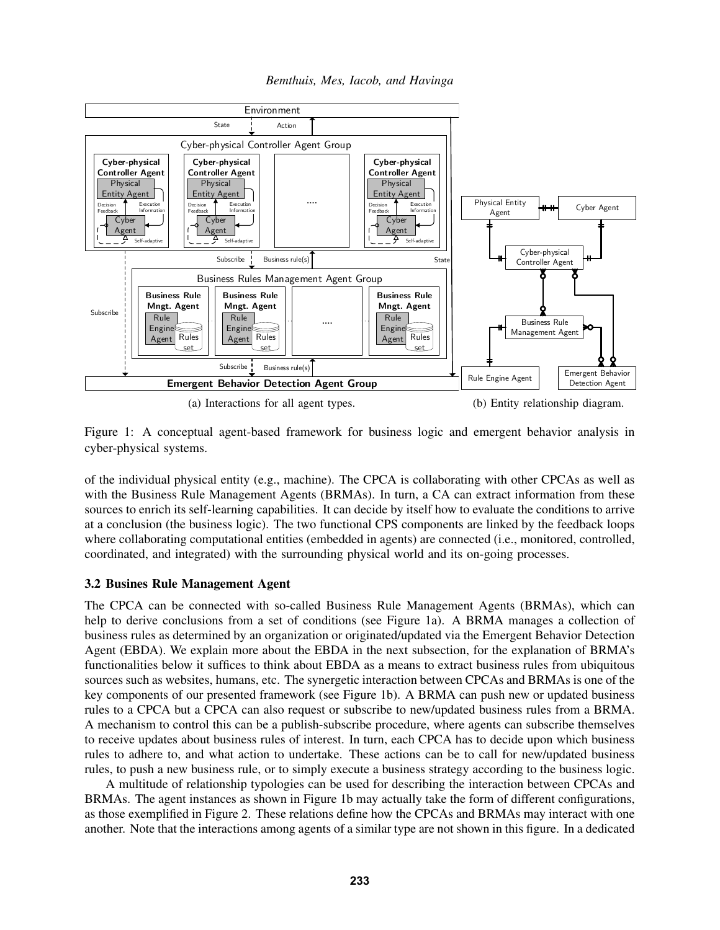*Bemthuis, Mes, Iacob, and Havinga*

<span id="page-3-0"></span>

Figure 1: A conceptual agent-based framework for business logic and emergent behavior analysis in cyber-physical systems.

of the individual physical entity (e.g., machine). The CPCA is collaborating with other CPCAs as well as with the Business Rule Management Agents (BRMAs). In turn, a CA can extract information from these sources to enrich its self-learning capabilities. It can decide by itself how to evaluate the conditions to arrive at a conclusion (the business logic). The two functional CPS components are linked by the feedback loops where collaborating computational entities (embedded in agents) are connected (i.e., monitored, controlled, coordinated, and integrated) with the surrounding physical world and its on-going processes.

### 3.2 Busines Rule Management Agent

The CPCA can be connected with so-called Business Rule Management Agents (BRMAs), which can help to derive conclusions from a set of conditions (see Figure [1a\)](#page-3-0). A BRMA manages a collection of business rules as determined by an organization or originated/updated via the Emergent Behavior Detection Agent (EBDA). We explain more about the EBDA in the next subsection, for the explanation of BRMA's functionalities below it suffices to think about EBDA as a means to extract business rules from ubiquitous sources such as websites, humans, etc. The synergetic interaction between CPCAs and BRMAs is one of the key components of our presented framework (see Figure [1b\)](#page-3-0). A BRMA can push new or updated business rules to a CPCA but a CPCA can also request or subscribe to new/updated business rules from a BRMA. A mechanism to control this can be a publish-subscribe procedure, where agents can subscribe themselves to receive updates about business rules of interest. In turn, each CPCA has to decide upon which business rules to adhere to, and what action to undertake. These actions can be to call for new/updated business rules, to push a new business rule, or to simply execute a business strategy according to the business logic.

A multitude of relationship typologies can be used for describing the interaction between CPCAs and BRMAs. The agent instances as shown in Figure [1b](#page-3-0) may actually take the form of different configurations, as those exemplified in Figure [2.](#page-4-0) These relations define how the CPCAs and BRMAs may interact with one another. Note that the interactions among agents of a similar type are not shown in this figure. In a dedicated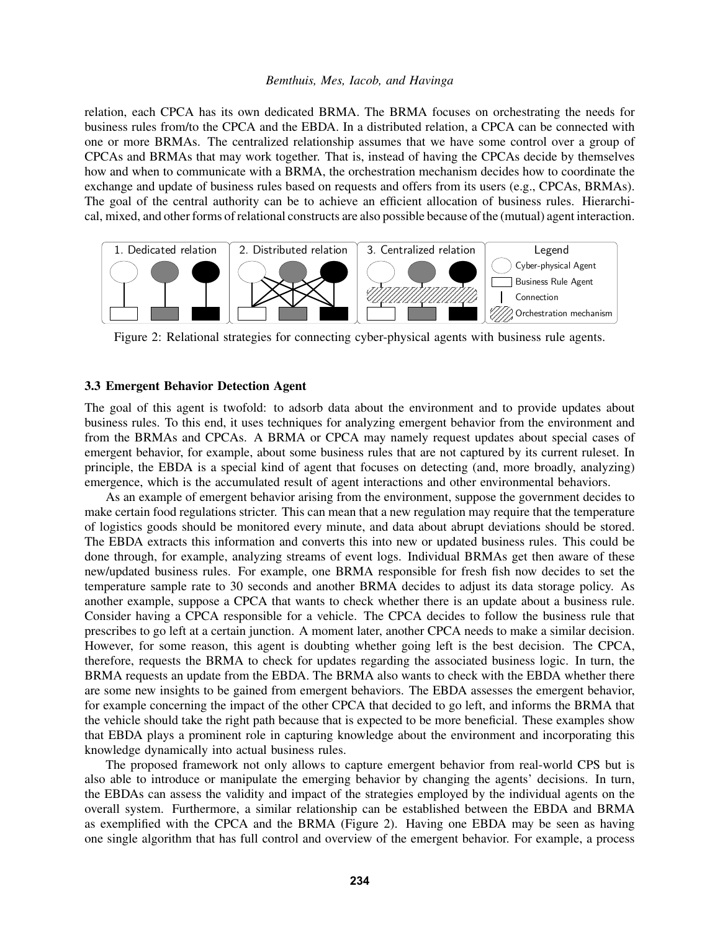relation, each CPCA has its own dedicated BRMA. The BRMA focuses on orchestrating the needs for business rules from/to the CPCA and the EBDA. In a distributed relation, a CPCA can be connected with one or more BRMAs. The centralized relationship assumes that we have some control over a group of CPCAs and BRMAs that may work together. That is, instead of having the CPCAs decide by themselves how and when to communicate with a BRMA, the orchestration mechanism decides how to coordinate the exchange and update of business rules based on requests and offers from its users (e.g., CPCAs, BRMAs). The goal of the central authority can be to achieve an efficient allocation of business rules. Hierarchical, mixed, and other forms of relational constructs are also possible because of the (mutual) agent interaction.

<span id="page-4-0"></span>

Figure 2: Relational strategies for connecting cyber-physical agents with business rule agents.

#### 3.3 Emergent Behavior Detection Agent

The goal of this agent is twofold: to adsorb data about the environment and to provide updates about business rules. To this end, it uses techniques for analyzing emergent behavior from the environment and from the BRMAs and CPCAs. A BRMA or CPCA may namely request updates about special cases of emergent behavior, for example, about some business rules that are not captured by its current ruleset. In principle, the EBDA is a special kind of agent that focuses on detecting (and, more broadly, analyzing) emergence, which is the accumulated result of agent interactions and other environmental behaviors.

As an example of emergent behavior arising from the environment, suppose the government decides to make certain food regulations stricter. This can mean that a new regulation may require that the temperature of logistics goods should be monitored every minute, and data about abrupt deviations should be stored. The EBDA extracts this information and converts this into new or updated business rules. This could be done through, for example, analyzing streams of event logs. Individual BRMAs get then aware of these new/updated business rules. For example, one BRMA responsible for fresh fish now decides to set the temperature sample rate to 30 seconds and another BRMA decides to adjust its data storage policy. As another example, suppose a CPCA that wants to check whether there is an update about a business rule. Consider having a CPCA responsible for a vehicle. The CPCA decides to follow the business rule that prescribes to go left at a certain junction. A moment later, another CPCA needs to make a similar decision. However, for some reason, this agent is doubting whether going left is the best decision. The CPCA, therefore, requests the BRMA to check for updates regarding the associated business logic. In turn, the BRMA requests an update from the EBDA. The BRMA also wants to check with the EBDA whether there are some new insights to be gained from emergent behaviors. The EBDA assesses the emergent behavior, for example concerning the impact of the other CPCA that decided to go left, and informs the BRMA that the vehicle should take the right path because that is expected to be more beneficial. These examples show that EBDA plays a prominent role in capturing knowledge about the environment and incorporating this knowledge dynamically into actual business rules.

The proposed framework not only allows to capture emergent behavior from real-world CPS but is also able to introduce or manipulate the emerging behavior by changing the agents' decisions. In turn, the EBDAs can assess the validity and impact of the strategies employed by the individual agents on the overall system. Furthermore, a similar relationship can be established between the EBDA and BRMA as exemplified with the CPCA and the BRMA (Figure [2\)](#page-4-0). Having one EBDA may be seen as having one single algorithm that has full control and overview of the emergent behavior. For example, a process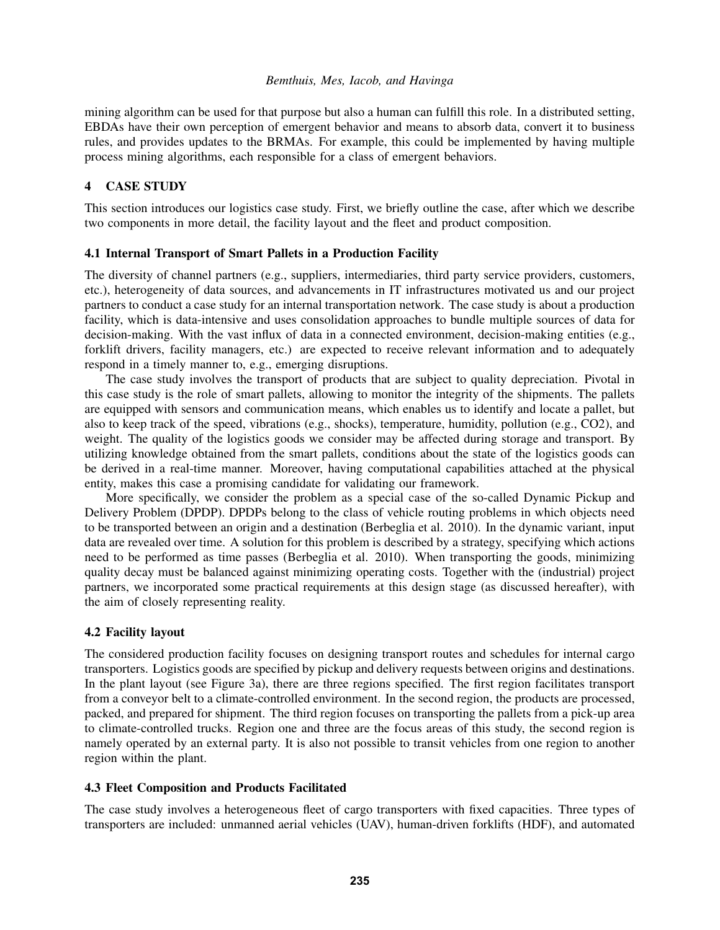mining algorithm can be used for that purpose but also a human can fulfill this role. In a distributed setting, EBDAs have their own perception of emergent behavior and means to absorb data, convert it to business rules, and provides updates to the BRMAs. For example, this could be implemented by having multiple process mining algorithms, each responsible for a class of emergent behaviors.

## <span id="page-5-0"></span>4 CASE STUDY

This section introduces our logistics case study. First, we briefly outline the case, after which we describe two components in more detail, the facility layout and the fleet and product composition.

## 4.1 Internal Transport of Smart Pallets in a Production Facility

The diversity of channel partners (e.g., suppliers, intermediaries, third party service providers, customers, etc.), heterogeneity of data sources, and advancements in IT infrastructures motivated us and our project partners to conduct a case study for an internal transportation network. The case study is about a production facility, which is data-intensive and uses consolidation approaches to bundle multiple sources of data for decision-making. With the vast influx of data in a connected environment, decision-making entities (e.g., forklift drivers, facility managers, etc.) are expected to receive relevant information and to adequately respond in a timely manner to, e.g., emerging disruptions.

The case study involves the transport of products that are subject to quality depreciation. Pivotal in this case study is the role of smart pallets, allowing to monitor the integrity of the shipments. The pallets are equipped with sensors and communication means, which enables us to identify and locate a pallet, but also to keep track of the speed, vibrations (e.g., shocks), temperature, humidity, pollution (e.g., CO2), and weight. The quality of the logistics goods we consider may be affected during storage and transport. By utilizing knowledge obtained from the smart pallets, conditions about the state of the logistics goods can be derived in a real-time manner. Moreover, having computational capabilities attached at the physical entity, makes this case a promising candidate for validating our framework.

More specifically, we consider the problem as a special case of the so-called Dynamic Pickup and Delivery Problem (DPDP). DPDPs belong to the class of vehicle routing problems in which objects need to be transported between an origin and a destination [\(Berbeglia et al. 2010\)](#page-10-5). In the dynamic variant, input data are revealed over time. A solution for this problem is described by a strategy, specifying which actions need to be performed as time passes [\(Berbeglia et al. 2010\)](#page-10-5). When transporting the goods, minimizing quality decay must be balanced against minimizing operating costs. Together with the (industrial) project partners, we incorporated some practical requirements at this design stage (as discussed hereafter), with the aim of closely representing reality.

### 4.2 Facility layout

The considered production facility focuses on designing transport routes and schedules for internal cargo transporters. Logistics goods are specified by pickup and delivery requests between origins and destinations. In the plant layout (see Figure [3a\)](#page-6-1), there are three regions specified. The first region facilitates transport from a conveyor belt to a climate-controlled environment. In the second region, the products are processed, packed, and prepared for shipment. The third region focuses on transporting the pallets from a pick-up area to climate-controlled trucks. Region one and three are the focus areas of this study, the second region is namely operated by an external party. It is also not possible to transit vehicles from one region to another region within the plant.

### 4.3 Fleet Composition and Products Facilitated

The case study involves a heterogeneous fleet of cargo transporters with fixed capacities. Three types of transporters are included: unmanned aerial vehicles (UAV), human-driven forklifts (HDF), and automated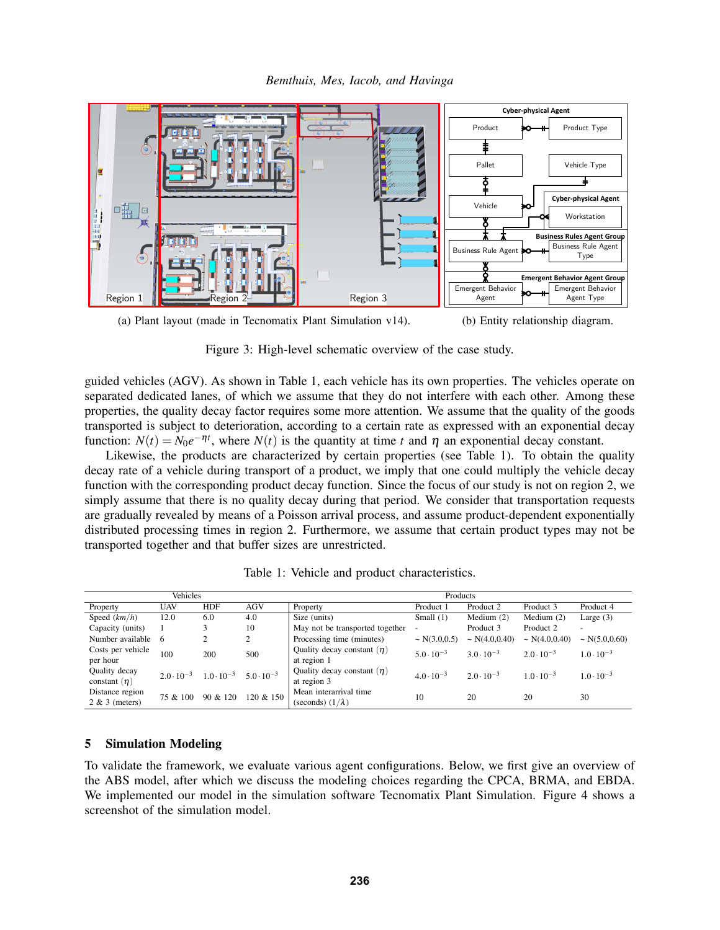<span id="page-6-1"></span>



Figure 3: High-level schematic overview of the case study.

guided vehicles (AGV). As shown in Table [1,](#page-6-2) each vehicle has its own properties. The vehicles operate on separated dedicated lanes, of which we assume that they do not interfere with each other. Among these properties, the quality decay factor requires some more attention. We assume that the quality of the goods transported is subject to deterioration, according to a certain rate as expressed with an exponential decay function:  $N(t) = N_0 e^{-\eta t}$ , where  $N(t)$  is the quantity at time *t* and  $\eta$  an exponential decay constant.

Likewise, the products are characterized by certain properties (see Table [1\)](#page-6-2). To obtain the quality decay rate of a vehicle during transport of a product, we imply that one could multiply the vehicle decay function with the corresponding product decay function. Since the focus of our study is not on region 2, we simply assume that there is no quality decay during that period. We consider that transportation requests are gradually revealed by means of a Poisson arrival process, and assume product-dependent exponentially distributed processing times in region 2. Furthermore, we assume that certain product types may not be transported together and that buffer sizes are unrestricted.

<span id="page-6-2"></span>

| Vehicles          |                     |                     |                     | Products                        |                          |                     |                     |                          |
|-------------------|---------------------|---------------------|---------------------|---------------------------------|--------------------------|---------------------|---------------------|--------------------------|
| Property          | UAV                 | <b>HDF</b>          | <b>AGV</b>          | Property                        | Product 1                | Product 2           | Product 3           | Product 4                |
| Speed $(km/h)$    | 12.0                | 6.0                 | 4.0                 | Size (units)                    | Small $(1)$              | Medium $(2)$        | Medium $(2)$        | Large $(3)$              |
| Capacity (units)  |                     | 3                   | 10                  | May not be transported together | $\overline{\phantom{a}}$ | Product 3           | Product 2           | $\overline{\phantom{m}}$ |
| Number available  | -6                  | ↑<br>∠              | 2                   | Processing time (minutes)       | $\sim N(3.0, 0.5)$       | $\sim N(4.0, 0.40)$ | $\sim N(4.0, 0.40)$ | $\sim N(5.0, 0.60)$      |
| Costs per vehicle | 100                 | 200                 | 500                 | Quality decay constant $(\eta)$ | $5.0 \cdot 10^{-3}$      | $3.0 \cdot 10^{-3}$ | $2.0 \cdot 10^{-3}$ | $1.0 \cdot 10^{-3}$      |
| per hour          |                     |                     |                     | at region 1                     |                          |                     |                     |                          |
| Quality decay     | $2.0 \cdot 10^{-3}$ | $1.0 \cdot 10^{-3}$ | $5.0 \cdot 10^{-3}$ | Quality decay constant $(\eta)$ | $4.0 \cdot 10^{-3}$      | $2.0 \cdot 10^{-3}$ | $1.0 \cdot 10^{-3}$ | $1.0 \cdot 10^{-3}$      |
| constant $(\eta)$ |                     |                     |                     | at region 3                     |                          |                     |                     |                          |
| Distance region   | 75 & 100            | 90 & 120            | 120 & 150           | Mean interarrival time          | 10                       | 20                  | 20                  | 30                       |
| $2 & 3$ (meters)  |                     |                     |                     | (seconds) $(1/\lambda)$         |                          |                     |                     |                          |

Table 1: Vehicle and product characteristics.

## <span id="page-6-0"></span>5 Simulation Modeling

To validate the framework, we evaluate various agent configurations. Below, we first give an overview of the ABS model, after which we discuss the modeling choices regarding the CPCA, BRMA, and EBDA. We implemented our model in the simulation software Tecnomatix Plant Simulation. Figure [4](#page-7-0) shows a screenshot of the simulation model.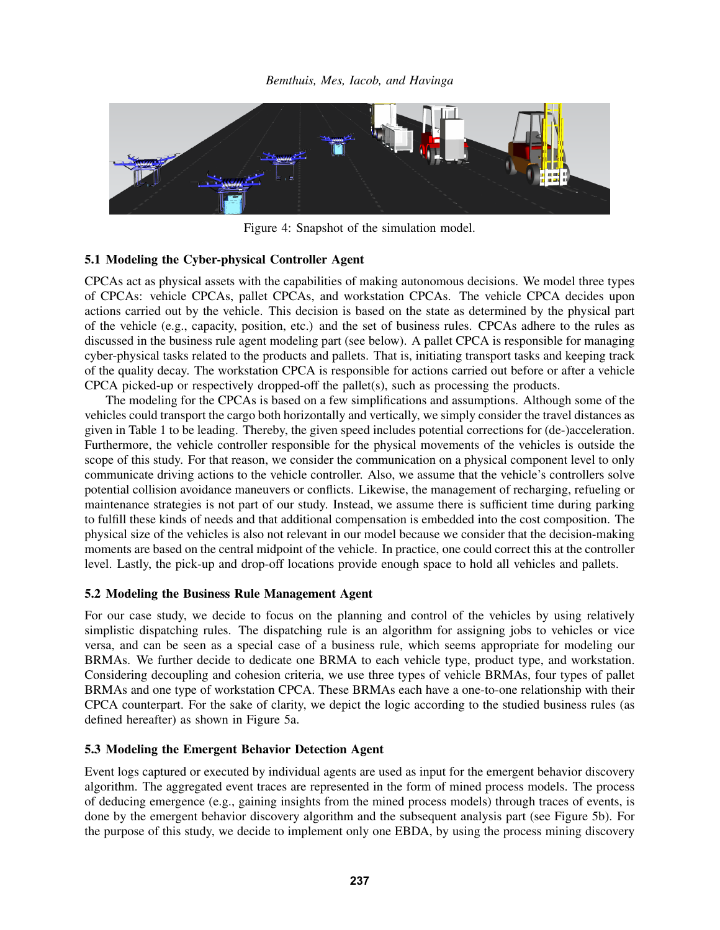<span id="page-7-0"></span>

Figure 4: Snapshot of the simulation model.

## 5.1 Modeling the Cyber-physical Controller Agent

CPCAs act as physical assets with the capabilities of making autonomous decisions. We model three types of CPCAs: vehicle CPCAs, pallet CPCAs, and workstation CPCAs. The vehicle CPCA decides upon actions carried out by the vehicle. This decision is based on the state as determined by the physical part of the vehicle (e.g., capacity, position, etc.) and the set of business rules. CPCAs adhere to the rules as discussed in the business rule agent modeling part (see below). A pallet CPCA is responsible for managing cyber-physical tasks related to the products and pallets. That is, initiating transport tasks and keeping track of the quality decay. The workstation CPCA is responsible for actions carried out before or after a vehicle CPCA picked-up or respectively dropped-off the pallet(s), such as processing the products.

The modeling for the CPCAs is based on a few simplifications and assumptions. Although some of the vehicles could transport the cargo both horizontally and vertically, we simply consider the travel distances as given in Table [1](#page-6-2) to be leading. Thereby, the given speed includes potential corrections for (de-)acceleration. Furthermore, the vehicle controller responsible for the physical movements of the vehicles is outside the scope of this study. For that reason, we consider the communication on a physical component level to only communicate driving actions to the vehicle controller. Also, we assume that the vehicle's controllers solve potential collision avoidance maneuvers or conflicts. Likewise, the management of recharging, refueling or maintenance strategies is not part of our study. Instead, we assume there is sufficient time during parking to fulfill these kinds of needs and that additional compensation is embedded into the cost composition. The physical size of the vehicles is also not relevant in our model because we consider that the decision-making moments are based on the central midpoint of the vehicle. In practice, one could correct this at the controller level. Lastly, the pick-up and drop-off locations provide enough space to hold all vehicles and pallets.

# 5.2 Modeling the Business Rule Management Agent

For our case study, we decide to focus on the planning and control of the vehicles by using relatively simplistic dispatching rules. The dispatching rule is an algorithm for assigning jobs to vehicles or vice versa, and can be seen as a special case of a business rule, which seems appropriate for modeling our BRMAs. We further decide to dedicate one BRMA to each vehicle type, product type, and workstation. Considering decoupling and cohesion criteria, we use three types of vehicle BRMAs, four types of pallet BRMAs and one type of workstation CPCA. These BRMAs each have a one-to-one relationship with their CPCA counterpart. For the sake of clarity, we depict the logic according to the studied business rules (as defined hereafter) as shown in Figure [5a.](#page-8-1)

# 5.3 Modeling the Emergent Behavior Detection Agent

Event logs captured or executed by individual agents are used as input for the emergent behavior discovery algorithm. The aggregated event traces are represented in the form of mined process models. The process of deducing emergence (e.g., gaining insights from the mined process models) through traces of events, is done by the emergent behavior discovery algorithm and the subsequent analysis part (see Figure [5b\)](#page-8-1). For the purpose of this study, we decide to implement only one EBDA, by using the process mining discovery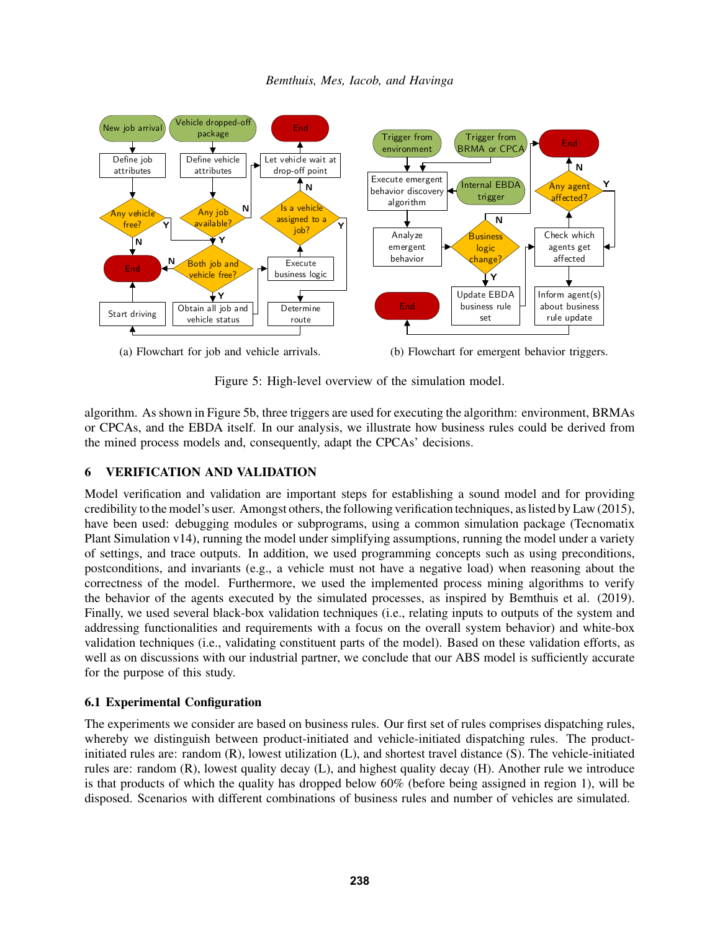<span id="page-8-1"></span>

(a) Flowchart for job and vehicle arrivals.

(b) Flowchart for emergent behavior triggers.

Figure 5: High-level overview of the simulation model.

algorithm. As shown in Figure [5b,](#page-8-1) three triggers are used for executing the algorithm: environment, BRMAs or CPCAs, and the EBDA itself. In our analysis, we illustrate how business rules could be derived from the mined process models and, consequently, adapt the CPCAs' decisions.

# <span id="page-8-0"></span>6 VERIFICATION AND VALIDATION

Model verification and validation are important steps for establishing a sound model and for providing credibility to the model's user. Amongst others, the following verification techniques, as listed by [Law \(2015\),](#page-11-16) have been used: debugging modules or subprograms, using a common simulation package (Tecnomatix Plant Simulation v14), running the model under simplifying assumptions, running the model under a variety of settings, and trace outputs. In addition, we used programming concepts such as using preconditions, postconditions, and invariants (e.g., a vehicle must not have a negative load) when reasoning about the correctness of the model. Furthermore, we used the implemented process mining algorithms to verify the behavior of the agents executed by the simulated processes, as inspired by [Bemthuis et al. \(2019\).](#page-10-3) Finally, we used several black-box validation techniques (i.e., relating inputs to outputs of the system and addressing functionalities and requirements with a focus on the overall system behavior) and white-box validation techniques (i.e., validating constituent parts of the model). Based on these validation efforts, as well as on discussions with our industrial partner, we conclude that our ABS model is sufficiently accurate for the purpose of this study.

# 6.1 Experimental Configuration

The experiments we consider are based on business rules. Our first set of rules comprises dispatching rules, whereby we distinguish between product-initiated and vehicle-initiated dispatching rules. The productinitiated rules are: random (R), lowest utilization (L), and shortest travel distance (S). The vehicle-initiated rules are: random (R), lowest quality decay (L), and highest quality decay (H). Another rule we introduce is that products of which the quality has dropped below 60% (before being assigned in region 1), will be disposed. Scenarios with different combinations of business rules and number of vehicles are simulated.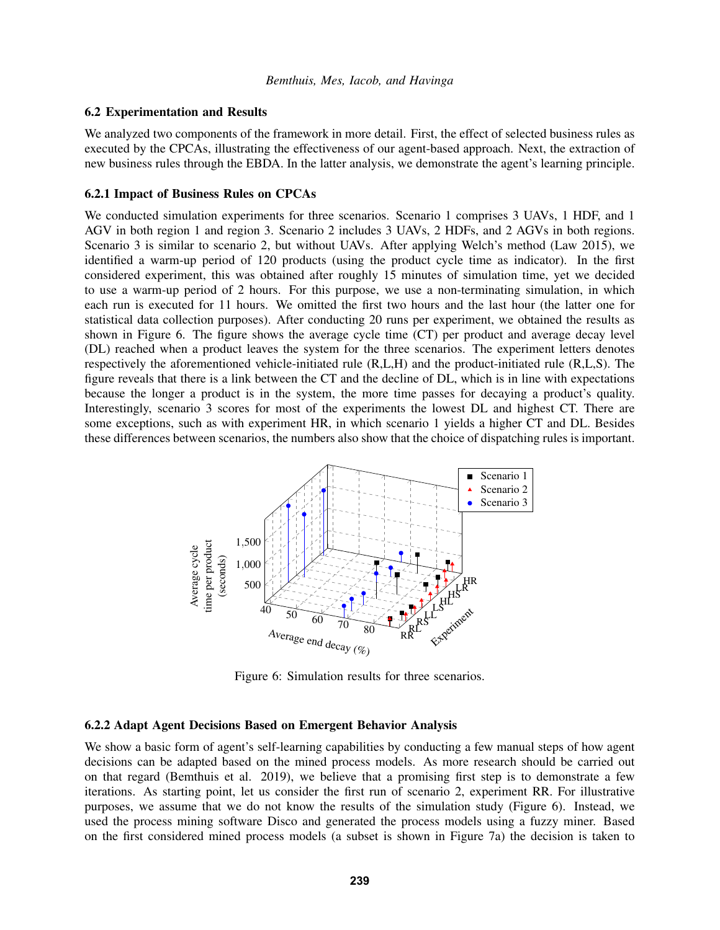#### 6.2 Experimentation and Results

We analyzed two components of the framework in more detail. First, the effect of selected business rules as executed by the CPCAs, illustrating the effectiveness of our agent-based approach. Next, the extraction of new business rules through the EBDA. In the latter analysis, we demonstrate the agent's learning principle.

## 6.2.1 Impact of Business Rules on CPCAs

We conducted simulation experiments for three scenarios. Scenario 1 comprises 3 UAVs, 1 HDF, and 1 AGV in both region 1 and region 3. Scenario 2 includes 3 UAVs, 2 HDFs, and 2 AGVs in both regions. Scenario 3 is similar to scenario 2, but without UAVs. After applying Welch's method [\(Law 2015\)](#page-11-16), we identified a warm-up period of 120 products (using the product cycle time as indicator). In the first considered experiment, this was obtained after roughly 15 minutes of simulation time, yet we decided to use a warm-up period of 2 hours. For this purpose, we use a non-terminating simulation, in which each run is executed for 11 hours. We omitted the first two hours and the last hour (the latter one for statistical data collection purposes). After conducting 20 runs per experiment, we obtained the results as shown in Figure [6.](#page-9-0) The figure shows the average cycle time (CT) per product and average decay level (DL) reached when a product leaves the system for the three scenarios. The experiment letters denotes respectively the aforementioned vehicle-initiated rule (R,L,H) and the product-initiated rule (R,L,S). The figure reveals that there is a link between the CT and the decline of DL, which is in line with expectations because the longer a product is in the system, the more time passes for decaying a product's quality. Interestingly, scenario 3 scores for most of the experiments the lowest DL and highest CT. There are some exceptions, such as with experiment HR, in which scenario 1 yields a higher CT and DL. Besides these differences between scenarios, the numbers also show that the choice of dispatching rules is important.

<span id="page-9-0"></span>

Figure 6: Simulation results for three scenarios.

#### 6.2.2 Adapt Agent Decisions Based on Emergent Behavior Analysis

We show a basic form of agent's self-learning capabilities by conducting a few manual steps of how agent decisions can be adapted based on the mined process models. As more research should be carried out on that regard [\(Bemthuis et al. 2019\)](#page-10-3), we believe that a promising first step is to demonstrate a few iterations. As starting point, let us consider the first run of scenario 2, experiment RR. For illustrative purposes, we assume that we do not know the results of the simulation study (Figure [6\)](#page-9-0). Instead, we used the process mining software Disco and generated the process models using a fuzzy miner. Based on the first considered mined process models (a subset is shown in Figure [7a\)](#page-10-6) the decision is taken to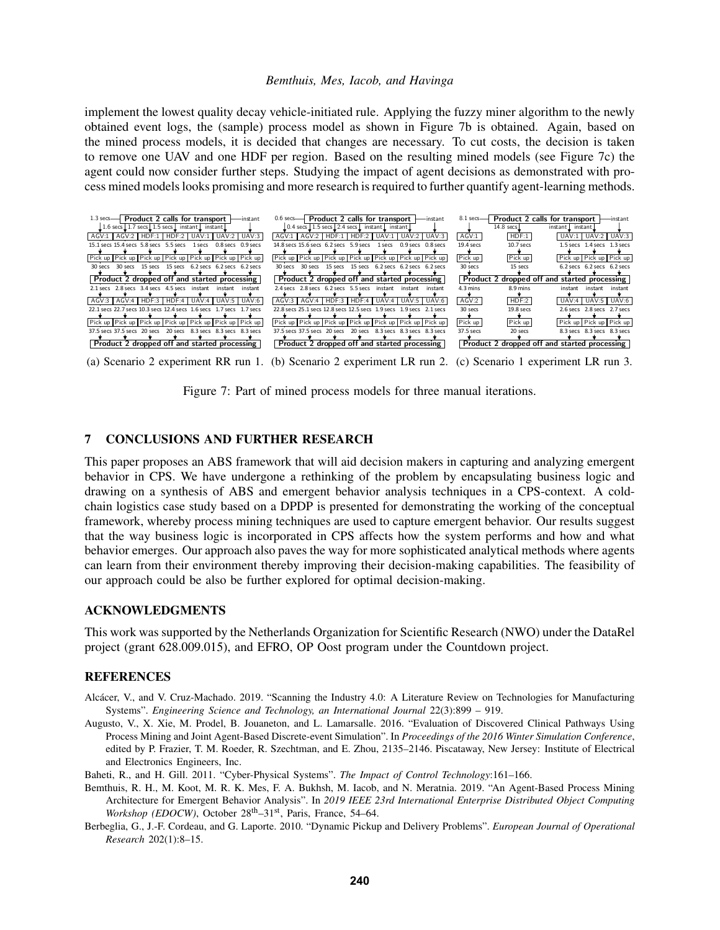implement the lowest quality decay vehicle-initiated rule. Applying the fuzzy miner algorithm to the newly obtained event logs, the (sample) process model as shown in Figure [7b](#page-10-6) is obtained. Again, based on the mined process models, it is decided that changes are necessary. To cut costs, the decision is taken to remove one UAV and one HDF per region. Based on the resulting mined models (see Figure [7c\)](#page-10-6) the agent could now consider further steps. Studying the impact of agent decisions as demonstrated with process mined models looks promising and more research is required to further quantify agent-learning methods.

<span id="page-10-6"></span>

(a) Scenario 2 experiment RR run 1. (b) Scenario 2 experiment LR run 2. (c) Scenario 1 experiment LR run 3.

Figure 7: Part of mined process models for three manual iterations.

## <span id="page-10-2"></span>7 CONCLUSIONS AND FURTHER RESEARCH

This paper proposes an ABS framework that will aid decision makers in capturing and analyzing emergent behavior in CPS. We have undergone a rethinking of the problem by encapsulating business logic and drawing on a synthesis of ABS and emergent behavior analysis techniques in a CPS-context. A coldchain logistics case study based on a DPDP is presented for demonstrating the working of the conceptual framework, whereby process mining techniques are used to capture emergent behavior. Our results suggest that the way business logic is incorporated in CPS affects how the system performs and how and what behavior emerges. Our approach also paves the way for more sophisticated analytical methods where agents can learn from their environment thereby improving their decision-making capabilities. The feasibility of our approach could be also be further explored for optimal decision-making.

#### ACKNOWLEDGMENTS

This work was supported by the Netherlands Organization for Scientific Research (NWO) under the DataRel project (grant 628.009.015), and EFRO, OP Oost program under the Countdown project.

## **REFERENCES**

- <span id="page-10-1"></span>Alcacer, V., and V. Cruz-Machado. 2019. "Scanning the Industry 4.0: A Literature Review on Technologies for Manufacturing ´ Systems". *Engineering Science and Technology, an International Journal* 22(3):899 – 919.
- <span id="page-10-4"></span>Augusto, V., X. Xie, M. Prodel, B. Jouaneton, and L. Lamarsalle. 2016. "Evaluation of Discovered Clinical Pathways Using Process Mining and Joint Agent-Based Discrete-event Simulation". In *Proceedings of the 2016 Winter Simulation Conference*, edited by P. Frazier, T. M. Roeder, R. Szechtman, and E. Zhou, 2135–2146. Piscataway, New Jersey: Institute of Electrical and Electronics Engineers, Inc.

<span id="page-10-0"></span>Baheti, R., and H. Gill. 2011. "Cyber-Physical Systems". *The Impact of Control Technology*:161–166.

- <span id="page-10-3"></span>Bemthuis, R. H., M. Koot, M. R. K. Mes, F. A. Bukhsh, M. Iacob, and N. Meratnia. 2019. "An Agent-Based Process Mining Architecture for Emergent Behavior Analysis". In *2019 IEEE 23rd International Enterprise Distributed Object Computing Workshop (EDOCW)*, October 28<sup>th</sup>-31st, Paris, France, 54-64.
- <span id="page-10-5"></span>Berbeglia, G., J.-F. Cordeau, and G. Laporte. 2010. "Dynamic Pickup and Delivery Problems". *European Journal of Operational Research* 202(1):8–15.